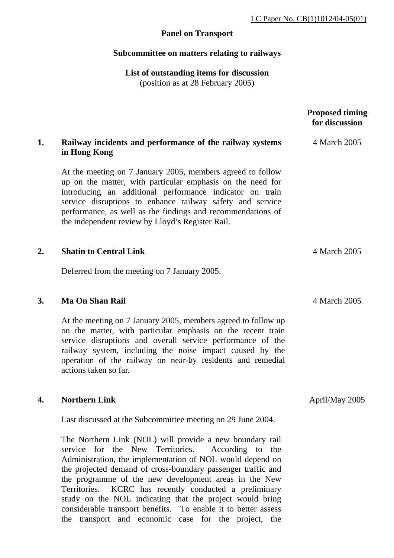# **Panel on Transport**

## **Subcommittee on matters relating to railways**

**List of outstanding items for discussion**  (position as at 28 February 2005)

|    |                                                                                                                                                                                                                                                                                                                                                                      | <b>Proposed timing</b><br>for discussion |
|----|----------------------------------------------------------------------------------------------------------------------------------------------------------------------------------------------------------------------------------------------------------------------------------------------------------------------------------------------------------------------|------------------------------------------|
| 1. | Railway incidents and performance of the railway systems<br>in Hong Kong                                                                                                                                                                                                                                                                                             | 4 March 2005                             |
|    | At the meeting on 7 January 2005, members agreed to follow<br>up on the matter, with particular emphasis on the need for<br>introducing an additional performance indicator on train<br>service disruptions to enhance railway safety and service<br>performance, as well as the findings and recommendations of<br>the independent review by Lloyd's Register Rail. |                                          |
| 2. | <b>Shatin to Central Link</b>                                                                                                                                                                                                                                                                                                                                        | 4 March 2005                             |
|    | Deferred from the meeting on 7 January 2005.                                                                                                                                                                                                                                                                                                                         |                                          |
| 3. | <b>Ma On Shan Rail</b>                                                                                                                                                                                                                                                                                                                                               | 4 March 2005                             |
|    | At the meeting on 7 January 2005, members agreed to follow up<br>on the matter, with particular emphasis on the recent train<br>service disruptions and overall service performance of the<br>railway system, including the noise impact caused by the<br>operation of the railway on near-by residents and remedial<br>actions taken so far.                        |                                          |
| 4. | <b>Northern Link</b>                                                                                                                                                                                                                                                                                                                                                 | April/May 2005                           |
|    | Last discussed at the Subcommittee meeting on 29 June 2004.                                                                                                                                                                                                                                                                                                          |                                          |

The Northern Link (NOL) will provide a new boundary rail service for the New Territories. According to the Administration, the implementation of NOL would depend on the projected demand of cross-boundary passenger traffic and the programme of the new development areas in the New Territories. KCRC has recently conducted a preliminary study on the NOL indicating that the project would bring considerable transport benefits. To enable it to better assess the transport and economic case for the project, the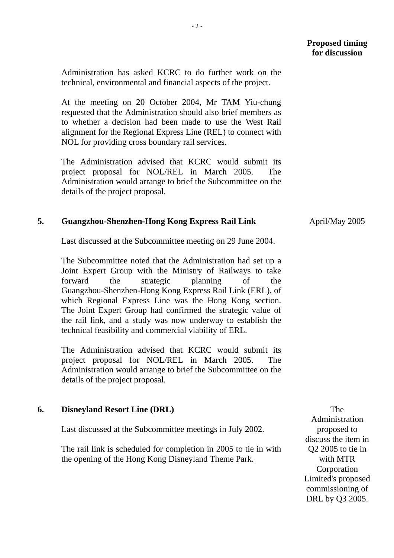Administration has asked KCRC to do further work on the technical, environmental and financial aspects of the project.

At the meeting on 20 October 2004, Mr TAM Yiu-chung requested that the Administration should also brief members as to whether a decision had been made to use the West Rail alignment for the Regional Express Line (REL) to connect with NOL for providing cross boundary rail services.

The Administration advised that KCRC would submit its project proposal for NOL/REL in March 2005. The Administration would arrange to brief the Subcommittee on the details of the project proposal.

### **5. Guangzhou-Shenzhen-Hong Kong Express Rail Link**

Last discussed at the Subcommittee meeting on 29 June 2004.

The Subcommittee noted that the Administration had set up a Joint Expert Group with the Ministry of Railways to take forward the strategic planning of the Guangzhou-Shenzhen-Hong Kong Express Rail Link (ERL), of which Regional Express Line was the Hong Kong section. The Joint Expert Group had confirmed the strategic value of the rail link, and a study was now underway to establish the technical feasibility and commercial viability of ERL.

The Administration advised that KCRC would submit its project proposal for NOL/REL in March 2005. The Administration would arrange to brief the Subcommittee on the details of the project proposal.

#### **6. Disneyland Resort Line (DRL)**

Last discussed at the Subcommittee meetings in July 2002.

The rail link is scheduled for completion in 2005 to tie in with the opening of the Hong Kong Disneyland Theme Park.

 The Administration proposed to discuss the item in Q2 2005 to tie in with MTR Corporation Limited's proposed commissioning of DRL by Q3 2005.

April/May 2005